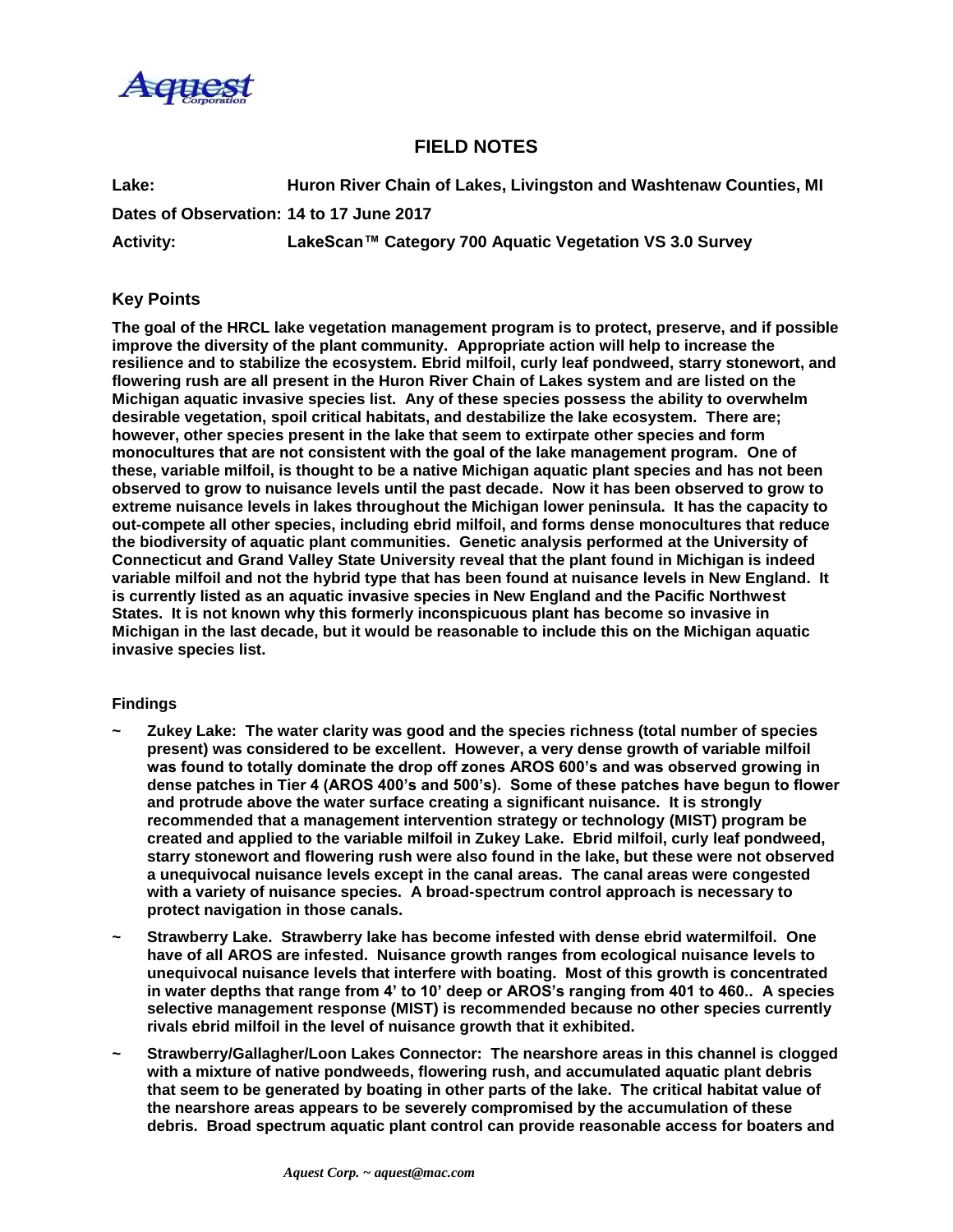

# **FIELD NOTES**

**Lake: Huron River Chain of Lakes, Livingston and Washtenaw Counties, MI Dates of Observation: 14 to 17 June 2017**

**Activity: LakeScan™ Category 700 Aquatic Vegetation VS 3.0 Survey**

# **Key Points**

**The goal of the HRCL lake vegetation management program is to protect, preserve, and if possible improve the diversity of the plant community. Appropriate action will help to increase the resilience and to stabilize the ecosystem. Ebrid milfoil, curly leaf pondweed, starry stonewort, and flowering rush are all present in the Huron River Chain of Lakes system and are listed on the Michigan aquatic invasive species list. Any of these species possess the ability to overwhelm desirable vegetation, spoil critical habitats, and destabilize the lake ecosystem. There are; however, other species present in the lake that seem to extirpate other species and form monocultures that are not consistent with the goal of the lake management program. One of these, variable milfoil, is thought to be a native Michigan aquatic plant species and has not been observed to grow to nuisance levels until the past decade. Now it has been observed to grow to extreme nuisance levels in lakes throughout the Michigan lower peninsula. It has the capacity to out-compete all other species, including ebrid milfoil, and forms dense monocultures that reduce the biodiversity of aquatic plant communities. Genetic analysis performed at the University of Connecticut and Grand Valley State University reveal that the plant found in Michigan is indeed variable milfoil and not the hybrid type that has been found at nuisance levels in New England. It is currently listed as an aquatic invasive species in New England and the Pacific Northwest States. It is not known why this formerly inconspicuous plant has become so invasive in Michigan in the last decade, but it would be reasonable to include this on the Michigan aquatic invasive species list.**

#### **Findings**

- **~ Zukey Lake: The water clarity was good and the species richness (total number of species present) was considered to be excellent. However, a very dense growth of variable milfoil was found to totally dominate the drop off zones AROS 600's and was observed growing in dense patches in Tier 4 (AROS 400's and 500's). Some of these patches have begun to flower and protrude above the water surface creating a significant nuisance. It is strongly recommended that a management intervention strategy or technology (MIST) program be created and applied to the variable milfoil in Zukey Lake. Ebrid milfoil, curly leaf pondweed, starry stonewort and flowering rush were also found in the lake, but these were not observed a unequivocal nuisance levels except in the canal areas. The canal areas were congested with a variety of nuisance species. A broad-spectrum control approach is necessary to protect navigation in those canals.**
- **~ Strawberry Lake. Strawberry lake has become infested with dense ebrid watermilfoil. One have of all AROS are infested. Nuisance growth ranges from ecological nuisance levels to unequivocal nuisance levels that interfere with boating. Most of this growth is concentrated in water depths that range from 4' to 10' deep or AROS's ranging from 401 to 460.. A species selective management response (MIST) is recommended because no other species currently rivals ebrid milfoil in the level of nuisance growth that it exhibited.**
- **~ Strawberry/Gallagher/Loon Lakes Connector: The nearshore areas in this channel is clogged with a mixture of native pondweeds, flowering rush, and accumulated aquatic plant debris that seem to be generated by boating in other parts of the lake. The critical habitat value of the nearshore areas appears to be severely compromised by the accumulation of these debris. Broad spectrum aquatic plant control can provide reasonable access for boaters and**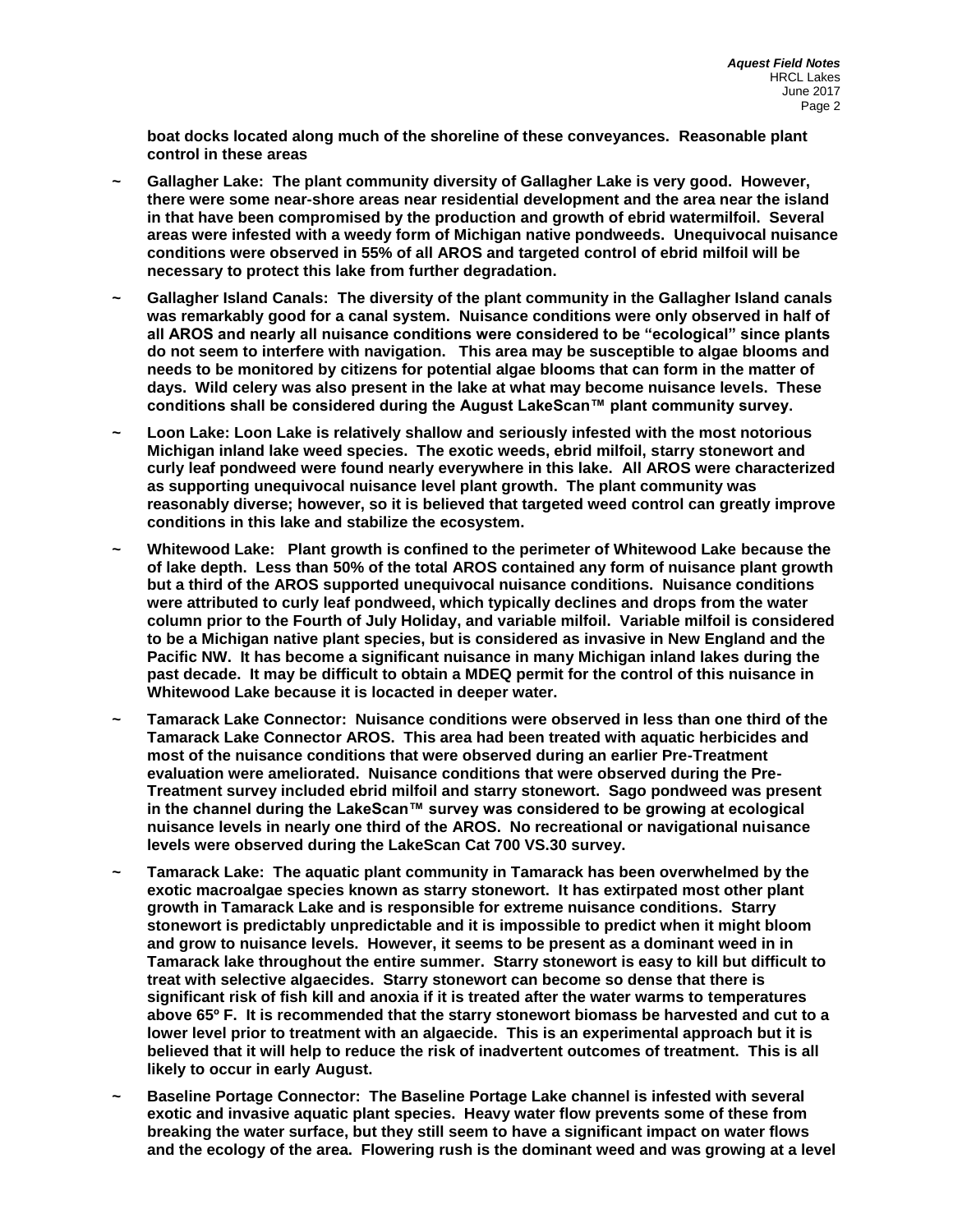**boat docks located along much of the shoreline of these conveyances. Reasonable plant control in these areas** 

- **~ Gallagher Lake: The plant community diversity of Gallagher Lake is very good. However, there were some near-shore areas near residential development and the area near the island in that have been compromised by the production and growth of ebrid watermilfoil. Several areas were infested with a weedy form of Michigan native pondweeds. Unequivocal nuisance conditions were observed in 55% of all AROS and targeted control of ebrid milfoil will be necessary to protect this lake from further degradation.**
- **~ Gallagher Island Canals: The diversity of the plant community in the Gallagher Island canals was remarkably good for a canal system. Nuisance conditions were only observed in half of all AROS and nearly all nuisance conditions were considered to be "ecological" since plants do not seem to interfere with navigation. This area may be susceptible to algae blooms and needs to be monitored by citizens for potential algae blooms that can form in the matter of days. Wild celery was also present in the lake at what may become nuisance levels. These conditions shall be considered during the August LakeScan™ plant community survey.**
- **~ Loon Lake: Loon Lake is relatively shallow and seriously infested with the most notorious Michigan inland lake weed species. The exotic weeds, ebrid milfoil, starry stonewort and curly leaf pondweed were found nearly everywhere in this lake. All AROS were characterized as supporting unequivocal nuisance level plant growth. The plant community was reasonably diverse; however, so it is believed that targeted weed control can greatly improve conditions in this lake and stabilize the ecosystem.**
- **~ Whitewood Lake: Plant growth is confined to the perimeter of Whitewood Lake because the of lake depth. Less than 50% of the total AROS contained any form of nuisance plant growth but a third of the AROS supported unequivocal nuisance conditions. Nuisance conditions were attributed to curly leaf pondweed, which typically declines and drops from the water column prior to the Fourth of July Holiday, and variable milfoil. Variable milfoil is considered to be a Michigan native plant species, but is considered as invasive in New England and the Pacific NW. It has become a significant nuisance in many Michigan inland lakes during the past decade. It may be difficult to obtain a MDEQ permit for the control of this nuisance in Whitewood Lake because it is locacted in deeper water.**
- **~ Tamarack Lake Connector: Nuisance conditions were observed in less than one third of the Tamarack Lake Connector AROS. This area had been treated with aquatic herbicides and most of the nuisance conditions that were observed during an earlier Pre-Treatment evaluation were ameliorated. Nuisance conditions that were observed during the Pre-Treatment survey included ebrid milfoil and starry stonewort. Sago pondweed was present in the channel during the LakeScan™ survey was considered to be growing at ecological nuisance levels in nearly one third of the AROS. No recreational or navigational nuisance levels were observed during the LakeScan Cat 700 VS.30 survey.**
- **~ Tamarack Lake: The aquatic plant community in Tamarack has been overwhelmed by the exotic macroalgae species known as starry stonewort. It has extirpated most other plant growth in Tamarack Lake and is responsible for extreme nuisance conditions. Starry stonewort is predictably unpredictable and it is impossible to predict when it might bloom and grow to nuisance levels. However, it seems to be present as a dominant weed in in Tamarack lake throughout the entire summer. Starry stonewort is easy to kill but difficult to treat with selective algaecides. Starry stonewort can become so dense that there is significant risk of fish kill and anoxia if it is treated after the water warms to temperatures above 65º F. It is recommended that the starry stonewort biomass be harvested and cut to a lower level prior to treatment with an algaecide. This is an experimental approach but it is believed that it will help to reduce the risk of inadvertent outcomes of treatment. This is all likely to occur in early August.**
- **~ Baseline Portage Connector: The Baseline Portage Lake channel is infested with several exotic and invasive aquatic plant species. Heavy water flow prevents some of these from breaking the water surface, but they still seem to have a significant impact on water flows and the ecology of the area. Flowering rush is the dominant weed and was growing at a level**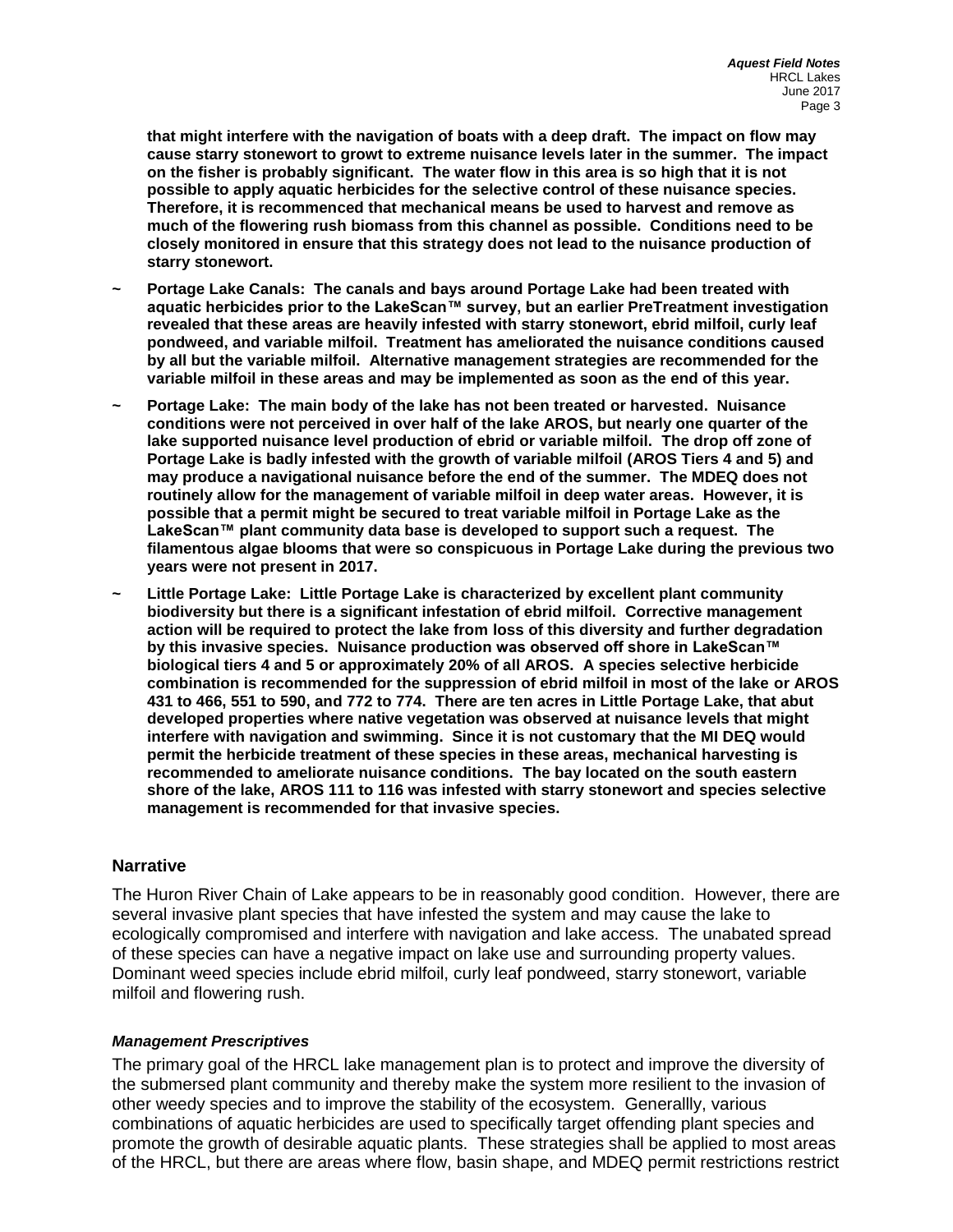**that might interfere with the navigation of boats with a deep draft. The impact on flow may cause starry stonewort to growt to extreme nuisance levels later in the summer. The impact on the fisher is probably significant. The water flow in this area is so high that it is not possible to apply aquatic herbicides for the selective control of these nuisance species. Therefore, it is recommenced that mechanical means be used to harvest and remove as much of the flowering rush biomass from this channel as possible. Conditions need to be closely monitored in ensure that this strategy does not lead to the nuisance production of starry stonewort.**

- **~ Portage Lake Canals: The canals and bays around Portage Lake had been treated with aquatic herbicides prior to the LakeScan™ survey, but an earlier PreTreatment investigation revealed that these areas are heavily infested with starry stonewort, ebrid milfoil, curly leaf pondweed, and variable milfoil. Treatment has ameliorated the nuisance conditions caused by all but the variable milfoil. Alternative management strategies are recommended for the variable milfoil in these areas and may be implemented as soon as the end of this year.**
- **~ Portage Lake: The main body of the lake has not been treated or harvested. Nuisance conditions were not perceived in over half of the lake AROS, but nearly one quarter of the lake supported nuisance level production of ebrid or variable milfoil. The drop off zone of Portage Lake is badly infested with the growth of variable milfoil (AROS Tiers 4 and 5) and may produce a navigational nuisance before the end of the summer. The MDEQ does not routinely allow for the management of variable milfoil in deep water areas. However, it is possible that a permit might be secured to treat variable milfoil in Portage Lake as the LakeScan™ plant community data base is developed to support such a request. The filamentous algae blooms that were so conspicuous in Portage Lake during the previous two years were not present in 2017.**
- **~ Little Portage Lake: Little Portage Lake is characterized by excellent plant community biodiversity but there is a significant infestation of ebrid milfoil. Corrective management action will be required to protect the lake from loss of this diversity and further degradation by this invasive species. Nuisance production was observed off shore in LakeScan™ biological tiers 4 and 5 or approximately 20% of all AROS. A species selective herbicide combination is recommended for the suppression of ebrid milfoil in most of the lake or AROS 431 to 466, 551 to 590, and 772 to 774. There are ten acres in Little Portage Lake, that abut developed properties where native vegetation was observed at nuisance levels that might interfere with navigation and swimming. Since it is not customary that the MI DEQ would permit the herbicide treatment of these species in these areas, mechanical harvesting is recommended to ameliorate nuisance conditions. The bay located on the south eastern shore of the lake, AROS 111 to 116 was infested with starry stonewort and species selective management is recommended for that invasive species.**

## **Narrative**

The Huron River Chain of Lake appears to be in reasonably good condition. However, there are several invasive plant species that have infested the system and may cause the lake to ecologically compromised and interfere with navigation and lake access. The unabated spread of these species can have a negative impact on lake use and surrounding property values. Dominant weed species include ebrid milfoil, curly leaf pondweed, starry stonewort, variable milfoil and flowering rush.

### *Management Prescriptives*

The primary goal of the HRCL lake management plan is to protect and improve the diversity of the submersed plant community and thereby make the system more resilient to the invasion of other weedy species and to improve the stability of the ecosystem. Generallly, various combinations of aquatic herbicides are used to specifically target offending plant species and promote the growth of desirable aquatic plants. These strategies shall be applied to most areas of the HRCL, but there are areas where flow, basin shape, and MDEQ permit restrictions restrict